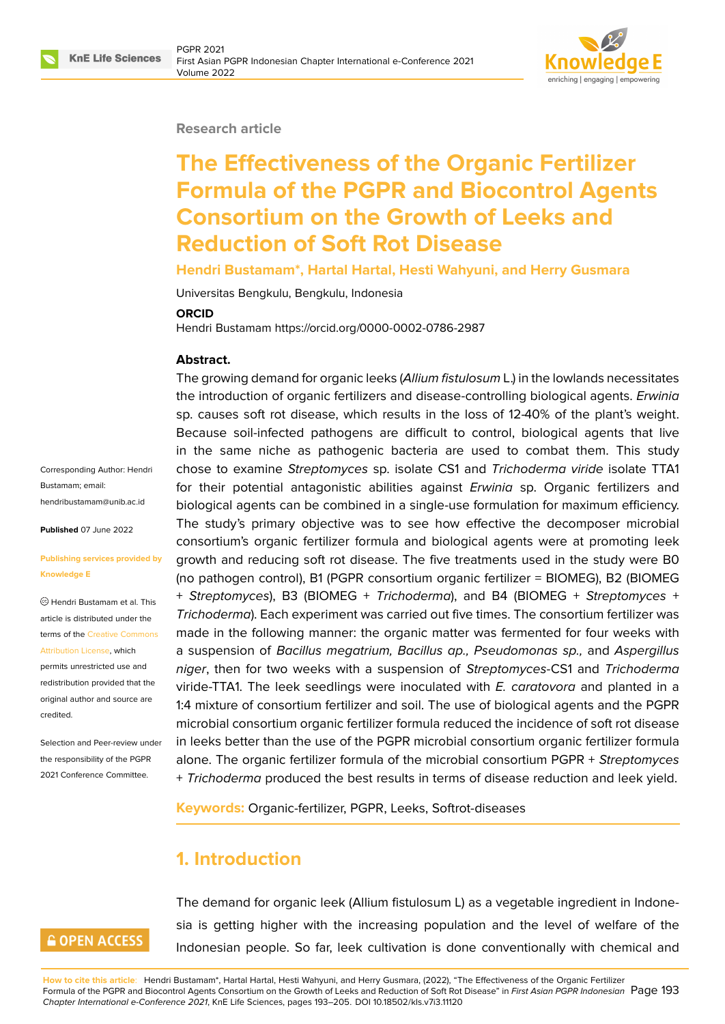

#### **Research article**

# **The Effectiveness of the Organic Fertilizer Formula of the PGPR and Biocontrol Agents Consortium on the Growth of Leeks and Reduction of Soft Rot Disease**

#### **Hendri Bustamam\*, Hartal Hartal, Hesti Wahyuni, and Herry Gusmara**

Universitas Bengkulu, Bengkulu, Indonesia

#### **ORCID**

Hendri Bustamam https://orcid.org/0000-0002-0786-2987

#### **Abstract.**

Corresponding Author: Hendri Bustamam; email: hendribustamam@unib.ac.id

**Published** 07 June 2022

#### **[Publishing services provide](mailto:hendribustamam@unib.ac.id)d by Knowledge E**

Hendri Bustamam et al. This article is distributed under the terms of the Creative Commons Attribution License, which

permits unrestricted use and redistribution provided that the original auth[or and source are](https://creativecommons.org/licenses/by/4.0/) [credited.](https://creativecommons.org/licenses/by/4.0/)

Selection and Peer-review under the responsibility of the PGPR 2021 Conference Committee.

The growing demand for organic leeks (*Allium fistulosum* L.) in the lowlands necessitates the introduction of organic fertilizers and disease-controlling biological agents. *Erwinia* sp. causes soft rot disease, which results in the loss of 12-40% of the plant's weight. Because soil-infected pathogens are difficult to control, biological agents that live in the same niche as pathogenic bacteria are used to combat them. This study chose to examine *Streptomyces* sp. isolate CS1 and *Trichoderma viride* isolate TTA1 for their potential antagonistic abilities against *Erwinia* sp. Organic fertilizers and biological agents can be combined in a single-use formulation for maximum efficiency. The study's primary objective was to see how effective the decomposer microbial consortium's organic fertilizer formula and biological agents were at promoting leek growth and reducing soft rot disease. The five treatments used in the study were B0 (no pathogen control), B1 (PGPR consortium organic fertilizer = BIOMEG), B2 (BIOMEG + *Streptomyces*), B3 (BIOMEG + *Trichoderma*), and B4 (BIOMEG + *Streptomyces* + *Trichoderma*). Each experiment was carried out five times. The consortium fertilizer was made in the following manner: the organic matter was fermented for four weeks with a suspension of *Bacillus megatrium, Bacillus ap., Pseudomonas sp.,* and *Aspergillus niger*, then for two weeks with a suspension of *Streptomyces*-CS1 and *Trichoderma* viride-TTA1. The leek seedlings were inoculated with *E. caratovora* and planted in a 1:4 mixture of consortium fertilizer and soil. The use of biological agents and the PGPR microbial consortium organic fertilizer formula reduced the incidence of soft rot disease in leeks better than the use of the PGPR microbial consortium organic fertilizer formula alone. The organic fertilizer formula of the microbial consortium PGPR + *Streptomyces* + *Trichoderma* produced the best results in terms of disease reduction and leek yield.

**Keywords:** Organic-fertilizer, PGPR, Leeks, Softrot-diseases

# **1. Introduction**

## **GOPEN ACCESS**

The demand for organic leek (Allium fistulosum L) as a vegetable ingredient in Indonesia is getting higher with the increasing population and the level of welfare of the Indonesian people. So far, leek cultivation is done conventionally with chemical and

**How to cite this article**: Hendri Bustamam\*, Hartal Hartal, Hesti Wahyuni, and Herry Gusmara, (2022), "The Effectiveness of the Organic Fertilizer Formula of the PGPR and Biocontrol Agents Consortium on the Growth of Leeks and Reduction of Soft Rot Disease" in *First Asian PGPR Indonesian* Page 193 *Chapter International e-Conference 2021*, KnE Life Sciences, pages 193–205. DOI 10.18502/kls.v7i3.11120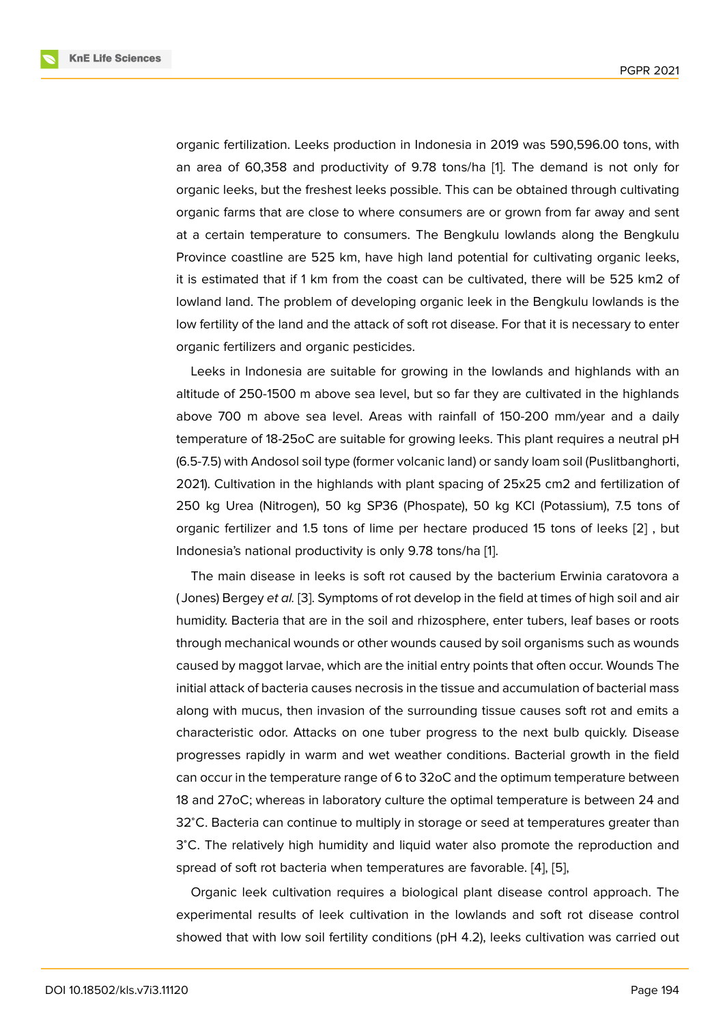organic fertilization. Leeks production in Indonesia in 2019 was 590,596.00 tons, with an area of 60,358 and productivity of 9.78 tons/ha [1]. The demand is not only for organic leeks, but the freshest leeks possible. This can be obtained through cultivating organic farms that are close to where consumers are or grown from far away and sent at a certain temperature to consumers. The Bengkul[u](#page-9-0) lowlands along the Bengkulu Province coastline are 525 km, have high land potential for cultivating organic leeks, it is estimated that if 1 km from the coast can be cultivated, there will be 525 km2 of lowland land. The problem of developing organic leek in the Bengkulu lowlands is the low fertility of the land and the attack of soft rot disease. For that it is necessary to enter organic fertilizers and organic pesticides.

Leeks in Indonesia are suitable for growing in the lowlands and highlands with an altitude of 250-1500 m above sea level, but so far they are cultivated in the highlands above 700 m above sea level. Areas with rainfall of 150-200 mm/year and a daily temperature of 18-25oC are suitable for growing leeks. This plant requires a neutral pH (6.5-7.5) with Andosol soil type (former volcanic land) or sandy loam soil (Puslitbanghorti, 2021). Cultivation in the highlands with plant spacing of 25x25 cm2 and fertilization of 250 kg Urea (Nitrogen), 50 kg SP36 (Phospate), 50 kg KCl (Potassium), 7.5 tons of organic fertilizer and 1.5 tons of lime per hectare produced 15 tons of leeks [2] , but Indonesia's national productivity is only 9.78 tons/ha [1].

The main disease in leeks is soft rot caused by the bacterium Erwinia caratovora a ( Jones) Bergey *et al.* [3]. Symptoms of rot develop in the field at times of high soi[l a](#page-9-1)nd air humidity. Bacteria that are in the soil and rhizosphere[,](#page-9-0) enter tubers, leaf bases or roots through mechanical wounds or other wounds caused by soil organisms such as wounds caused by maggot lar[va](#page-9-2)e, which are the initial entry points that often occur. Wounds The initial attack of bacteria causes necrosis in the tissue and accumulation of bacterial mass along with mucus, then invasion of the surrounding tissue causes soft rot and emits a characteristic odor. Attacks on one tuber progress to the next bulb quickly. Disease progresses rapidly in warm and wet weather conditions. Bacterial growth in the field can occur in the temperature range of 6 to 32oC and the optimum temperature between 18 and 27oC; whereas in laboratory culture the optimal temperature is between 24 and 32<sup>∘</sup>C. Bacteria can continue to multiply in storage or seed at temperatures greater than 3℃. The relatively high humidity and liquid water also promote the reproduction and spread of soft rot bacteria when temperatures are favorable. [4], [5],

Organic leek cultivation requires a biological plant disease control approach. The experimental results of leek cultivation in the lowlands and soft rot disease control showed that with low soil fertility conditions (pH 4.2), leeks c[ul](#page-9-3)ti[vat](#page-9-4)ion was carried out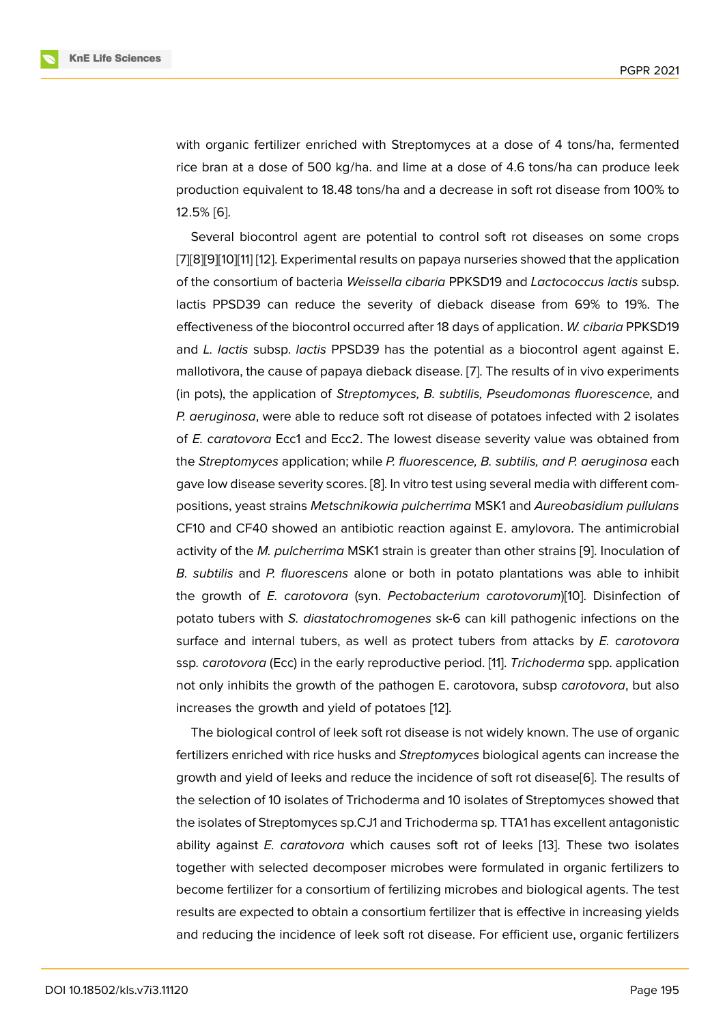with organic fertilizer enriched with Streptomyces at a dose of 4 tons/ha, fermented rice bran at a dose of 500 kg/ha. and lime at a dose of 4.6 tons/ha can produce leek production equivalent to 18.48 tons/ha and a decrease in soft rot disease from 100% to 12.5% [6].

Several biocontrol agent are potential to control soft rot diseases on some crops [7][8][9][10][11] [12]. Experimental results on papaya nurseries showed that the application of the [co](#page-9-5)nsortium of bacteria *Weissella cibaria* PPKSD19 and *Lactococcus lactis* subsp. lactis PPSD39 can reduce the severity of dieback disease from 69% to 19%. The [ef](#page-10-0)f[ec](#page-10-1)[tiv](#page-10-2)[ene](#page-10-3)[ss](#page-10-4) [of t](#page-10-5)he biocontrol occurred after 18 days of application. *W. cibaria* PPKSD19 and *L. lactis* subsp. *lactis* PPSD39 has the potential as a biocontrol agent against E. mallotivora, the cause of papaya dieback disease. [7]. The results of in vivo experiments (in pots), the application of *Streptomyces, B. subtilis, Pseudomonas fluorescence,* and *P. aeruginosa*, were able to reduce soft rot disease of potatoes infected with 2 isolates of *E. caratovora* Ecc1 and Ecc2. The lowest disea[se](#page-10-0) severity value was obtained from the *Streptomyces* application; while *P. fluorescence, B. subtilis, and P. aeruginosa* each gave low disease severity scores. [8]. In vitro test using several media with different compositions, yeast strains *Metschnikowia pulcherrima* MSK1 and *Aureobasidium pullulans* CF10 and CF40 showed an antibiotic reaction against E. amylovora. The antimicrobial activity of the *M. pulcherrima* MS[K1](#page-10-1) strain is greater than other strains [9]. Inoculation of *B. subtilis* and *P. fluorescens* alone or both in potato plantations was able to inhibit the growth of *E. carotovora* (syn. *Pectobacterium carotovorum*)[10]. Disinfection of potato tubers with *S. diastatochromogenes* sk-6 can kill pathogenic [inf](#page-10-2)ections on the surface and internal tubers, as well as protect tubers from attacks by *E. carotovora* ssp*. carotovora* (Ecc) in the early reproductive period. [11]. *Trichoder[ma](#page-10-3)* spp. application not only inhibits the growth of the pathogen E. carotovora, subsp *carotovora*, but also increases the growth and yield of potatoes [12].

The biological control of leek soft rot disease is not [wid](#page-10-4)ely known. The use of organic fertilizers enriched with rice husks and *Streptomyces* biological agents can increase the growth and yield of leeks and reduce the in[cide](#page-10-5)nce of soft rot disease[6]. The results of the selection of 10 isolates of Trichoderma and 10 isolates of Streptomyces showed that the isolates of Streptomyces sp.CJ1 and Trichoderma sp. TTA1 has excellent antagonistic ability against *E. caratovora* which causes soft rot of leeks [13]. Th[es](#page-9-5)e two isolates together with selected decomposer microbes were formulated in organic fertilizers to become fertilizer for a consortium of fertilizing microbes and biological agents. The test results are expected to obtain a consortium fertilizer that is effe[ctiv](#page-10-6)e in increasing yields and reducing the incidence of leek soft rot disease. For efficient use, organic fertilizers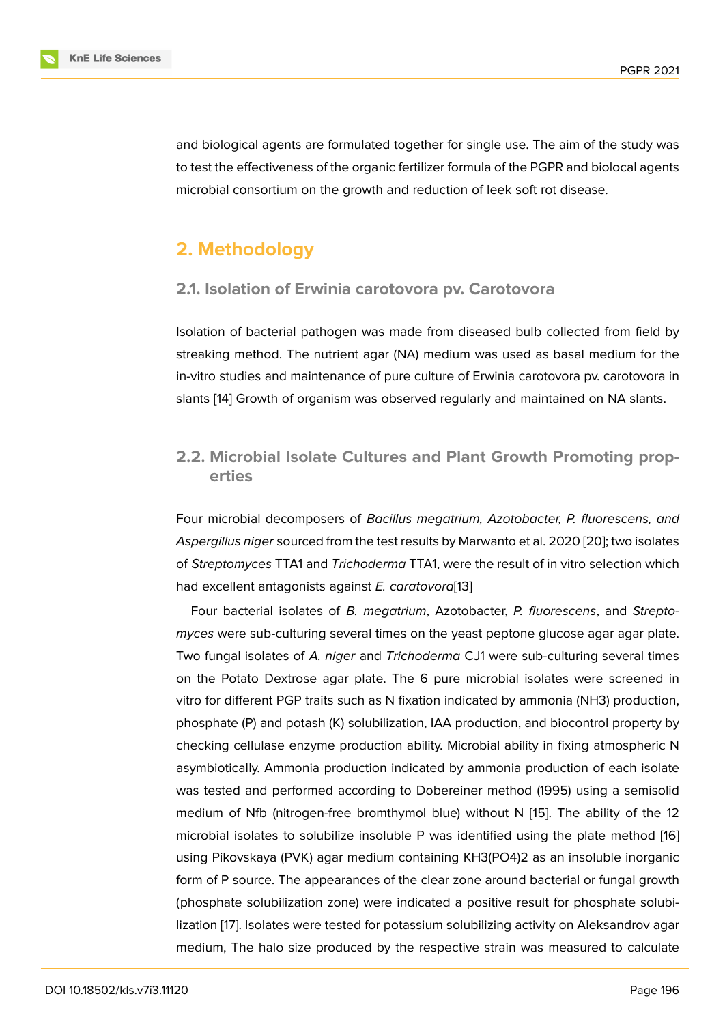and biological agents are formulated together for single use. The aim of the study was to test the effectiveness of the organic fertilizer formula of the PGPR and biolocal agents microbial consortium on the growth and reduction of leek soft rot disease.

# **2. Methodology**

### **2.1. Isolation of Erwinia carotovora pv. Carotovora**

Isolation of bacterial pathogen was made from diseased bulb collected from field by streaking method. The nutrient agar (NA) medium was used as basal medium for the in-vitro studies and maintenance of pure culture of Erwinia carotovora pv. carotovora in slants [14] Growth of organism was observed regularly and maintained on NA slants.

# **2.2. [Mic](#page-10-7)robial Isolate Cultures and Plant Growth Promoting properties**

Four microbial decomposers of *Bacillus megatrium, Azotobacter, P. fluorescens, and Aspergillus niger* sourced from the test results by Marwanto et al. 2020 [20]; two isolates of *Streptomyces* TTA1 and *Trichoderma* TTA1, were the result of in vitro selection which had excellent antagonists against *E. caratovora*[13]

Four bacterial isolates of *B. megatrium*, Azotobacter, *P. fluoresce[ns](#page-11-0)*, and *Streptomyces* were sub-culturing several times on the yeast peptone glucose agar agar plate. Two fungal isolates of *A. niger* and *Trichoderma* [C](#page-10-6)J1 were sub-culturing several times on the Potato Dextrose agar plate. The 6 pure microbial isolates were screened in vitro for different PGP traits such as N fixation indicated by ammonia (NH3) production, phosphate (P) and potash (K) solubilization, IAA production, and biocontrol property by checking cellulase enzyme production ability. Microbial ability in fixing atmospheric N asymbiotically. Ammonia production indicated by ammonia production of each isolate was tested and performed according to Dobereiner method (1995) using a semisolid medium of Nfb (nitrogen-free bromthymol blue) without N [15]. The ability of the 12 microbial isolates to solubilize insoluble P was identified using the plate method [16] using Pikovskaya (PVK) agar medium containing KH3(PO4)2 as an insoluble inorganic form of P source. The appearances of the clear zone around [bac](#page-10-8)terial or fungal growth (phosphate solubilization zone) were indicated a positive result for phosphate sol[ubi](#page-10-9)lization [17]. Isolates were tested for potassium solubilizing activity on Aleksandrov agar medium, The halo size produced by the respective strain was measured to calculate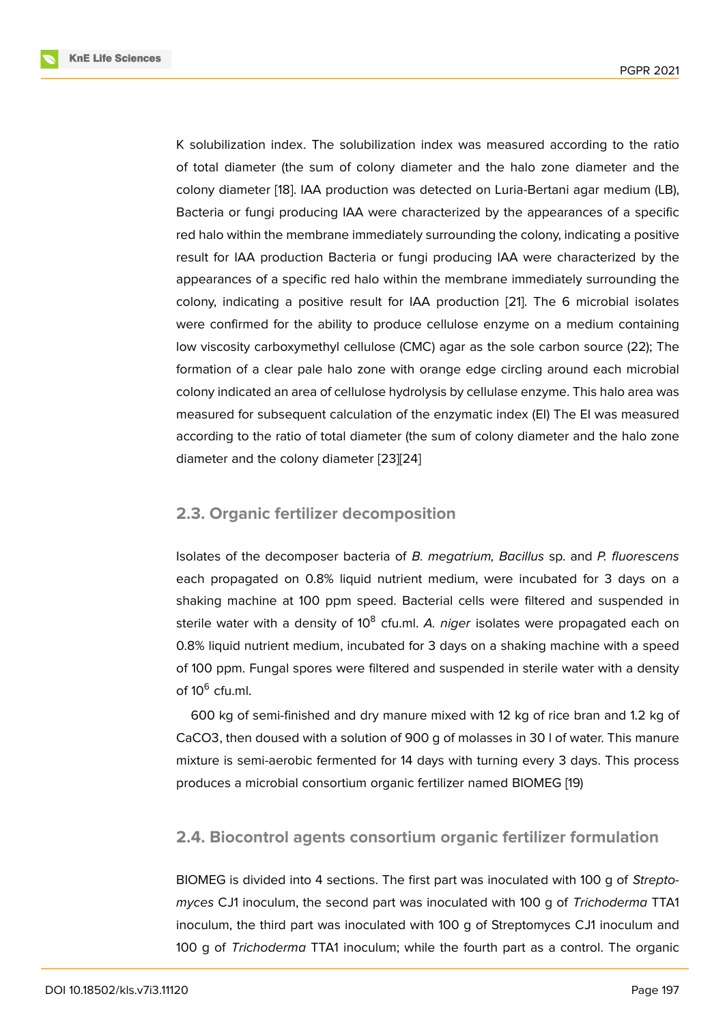K solubilization index. The solubilization index was measured according to the ratio of total diameter (the sum of colony diameter and the halo zone diameter and the colony diameter [18]. IAA production was detected on Luria-Bertani agar medium (LB), Bacteria or fungi producing IAA were characterized by the appearances of a specific red halo within the membrane immediately surrounding the colony, indicating a positive result for IAA pr[odu](#page-11-1)ction Bacteria or fungi producing IAA were characterized by the appearances of a specific red halo within the membrane immediately surrounding the colony, indicating a positive result for IAA production [21]. The 6 microbial isolates were confirmed for the ability to produce cellulose enzyme on a medium containing low viscosity carboxymethyl cellulose (CMC) agar as the sole carbon source (22); The formation of a clear pale halo zone with orange edge c[irc](#page-11-2)ling around each microbial colony indicated an area of cellulose hydrolysis by cellulase enzyme. This halo area was measured for subsequent calculation of the enzymatic index (EI) The EI was measured according to the ratio of total diameter (the sum of colony diameter and the halo zone diameter and the colony diameter [23][24]

### **2.3. Organic fertilizer deco[mp](#page-11-3)[os](#page-11-4)ition**

Isolates of the decomposer bacteria of *B. megatrium, Bacillus* sp. and *P. fluorescens* each propagated on 0.8% liquid nutrient medium, were incubated for 3 days on a shaking machine at 100 ppm speed. Bacterial cells were filtered and suspended in sterile water with a density of 10<sup>8</sup> cfu.ml. *A. niger* isolates were propagated each on 0.8% liquid nutrient medium, incubated for 3 days on a shaking machine with a speed of 100 ppm. Fungal spores were filtered and suspended in sterile water with a density of 10<sup>6</sup> cfu.ml.

600 kg of semi-finished and dry manure mixed with 12 kg of rice bran and 1.2 kg of CaCO3, then doused with a solution of 900 g of molasses in 30 l of water. This manure mixture is semi-aerobic fermented for 14 days with turning every 3 days. This process produces a microbial consortium organic fertilizer named BIOMEG [19)

### **2.4. Biocontrol agents consortium organic fertilizer formulation**

BIOMEG is divided into 4 sections. The first part was inoculated with 100 g of *Streptomyces* CJ1 inoculum, the second part was inoculated with 100 g of *Trichoderma* TTA1 inoculum, the third part was inoculated with 100 g of Streptomyces CJ1 inoculum and 100 g of *Trichoderma* TTA1 inoculum; while the fourth part as a control. The organic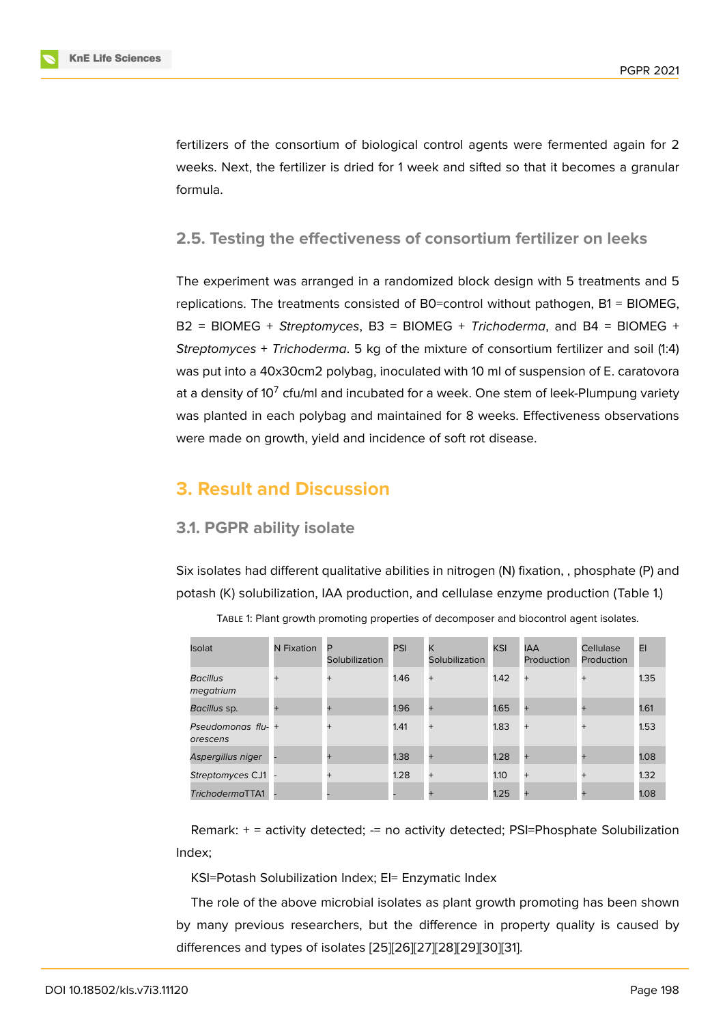fertilizers of the consortium of biological control agents were fermented again for 2 weeks. Next, the fertilizer is dried for 1 week and sifted so that it becomes a granular formula.

### **2.5. Testing the effectiveness of consortium fertilizer on leeks**

The experiment was arranged in a randomized block design with 5 treatments and 5 replications. The treatments consisted of B0=control without pathogen, B1 = BIOMEG, B2 = BIOMEG + *Streptomyces*, B3 = BIOMEG + *Trichoderma*, and B4 = BIOMEG + *Streptomyces* + *Trichoderma*. 5 kg of the mixture of consortium fertilizer and soil (1:4) was put into a 40x30cm2 polybag, inoculated with 10 ml of suspension of E. caratovora at a density of 10 $^7$  cfu/ml and incubated for a week. One stem of leek-Plumpung variety was planted in each polybag and maintained for 8 weeks. Effectiveness observations were made on growth, yield and incidence of soft rot disease.

# **3. Result and Discussion**

#### **3.1. PGPR ability isolate**

Six isolates had different qualitative abilities in nitrogen (N) fixation, , phosphate (P) and potash (K) solubilization, IAA production, and cellulase enzyme production (Table 1.)

| <b>Isolat</b>                  | N Fixation | P<br>Solubilization | PSI  | K<br>Solubilization | <b>KSI</b> | <b>IAA</b><br><b>Production</b> | <b>Cellulase</b><br>Production | EI   |
|--------------------------------|------------|---------------------|------|---------------------|------------|---------------------------------|--------------------------------|------|
| Bacillus<br>megatrium          | $^{+}$     | $+$                 | 1.46 | $+$                 | 1.42       | $+$                             | $\ddot{}$                      | 1.35 |
| Bacillus sp.                   |            | $\pm$               | 1.96 | $\pm$               | 1.65       | ÷                               |                                | 1.61 |
| Pseudomonas flu- +<br>orescens |            | $+$                 | 1.41 | $^{+}$              | 1.83       | $\ddot{}$                       | $\ddot{}$                      | 1.53 |
| Aspergillus niger              |            |                     | 1.38 | $\pm$               | 1.28       |                                 |                                | 1.08 |
| Streptomyces CJ1               |            | $+$                 | 1.28 | $+$                 | 1.10       | $+$                             | $+$                            | 1.32 |
| TrichodermaTTA1                |            |                     |      | $\pm$               | 1.25       | $\pm$                           |                                | 1.08 |

Table 1: Plant growth promoting properties of decomposer and biocontrol agent isolates.

Remark: + = activity detected; -= no activity detected; PSI=Phosphate Solubilization Index;

KSI=Potash Solubilization Index; EI= Enzymatic Index

The role of the above microbial isolates as plant growth promoting has been shown by many previous researchers, but the difference in property quality is caused by differences and types of isolates [25][26][27][28][29][30][31].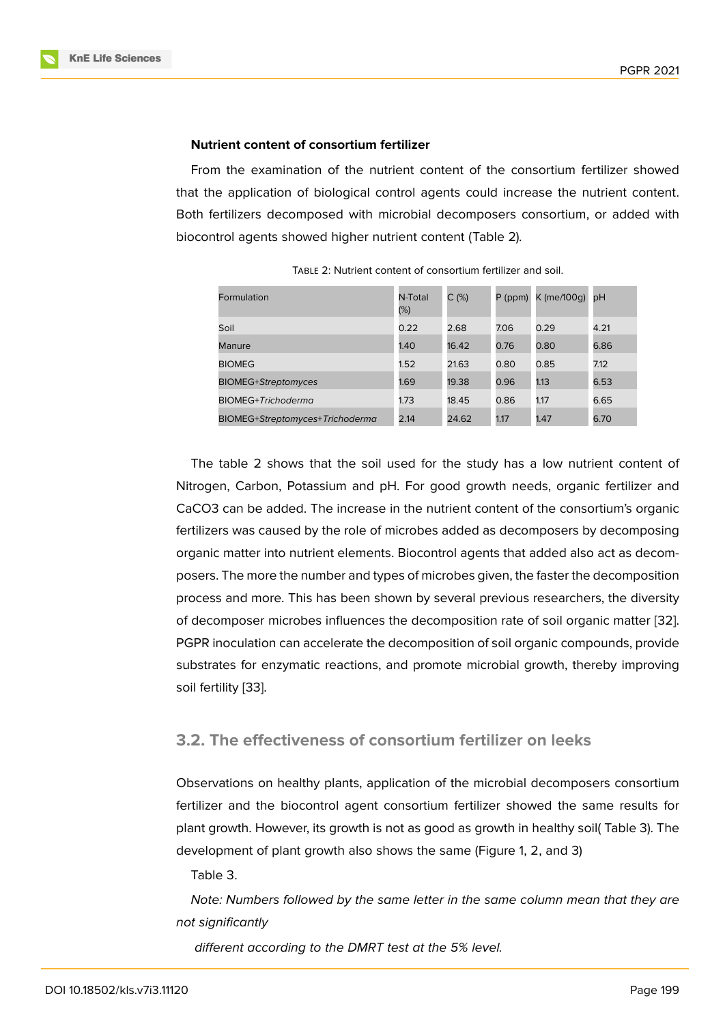#### **Nutrient content of consortium fertilizer**

From the examination of the nutrient content of the consortium fertilizer showed that the application of biological control agents could increase the nutrient content. Both fertilizers decomposed with microbial decomposers consortium, or added with biocontrol agents showed higher nutrient content (Table 2).

| Formulation                     | N-Total<br>(%) | $C$ (%) | P (ppm) | $K$ (me/100g) pH |      |
|---------------------------------|----------------|---------|---------|------------------|------|
| Soil                            | 0.22           | 2.68    | 7.06    | 0.29             | 4.21 |
| Manure                          | 1.40           | 16.42   | 0.76    | 0.80             | 6.86 |
| <b>BIOMEG</b>                   | 1.52           | 21.63   | 0.80    | 0.85             | 7.12 |
| <b>BIOMEG+Streptomyces</b>      | 1.69           | 19.38   | 0.96    | 1.13             | 6.53 |
| <b>BIOMEG+Trichoderma</b>       | 1.73           | 18.45   | 0.86    | 1.17             | 6.65 |
| BIOMEG+Streptomyces+Trichoderma | 2.14           | 24.62   | 1.17    | 1.47             | 6.70 |

Table 2: Nutrient content of consortium fertilizer and soil.

The table 2 shows that the soil used for the study has a low nutrient content of Nitrogen, Carbon, Potassium and pH. For good growth needs, organic fertilizer and CaCO3 can be added. The increase in the nutrient content of the consortium's organic fertilizers was caused by the role of microbes added as decomposers by decomposing organic matter into nutrient elements. Biocontrol agents that added also act as decomposers. The more the number and types of microbes given, the faster the decomposition process and more. This has been shown by several previous researchers, the diversity of decomposer microbes influences the decomposition rate of soil organic matter [32]. PGPR inoculation can accelerate the decomposition of soil organic compounds, provide substrates for enzymatic reactions, and promote microbial growth, thereby improving soil fertility [33].

### **3.2. The [eff](#page-12-0)ectiveness of consortium fertilizer on leeks**

Observations on healthy plants, application of the microbial decomposers consortium fertilizer and the biocontrol agent consortium fertilizer showed the same results for plant growth. However, its growth is not as good as growth in healthy soil( Table 3). The development of plant growth also shows the same (Figure 1, 2, and 3)

Table 3.

*Note: Numbers followed by the same letter in the same [c](#page-7-0)olumn mean that they are not significantly*

*different according to the DMRT test at the 5% level.*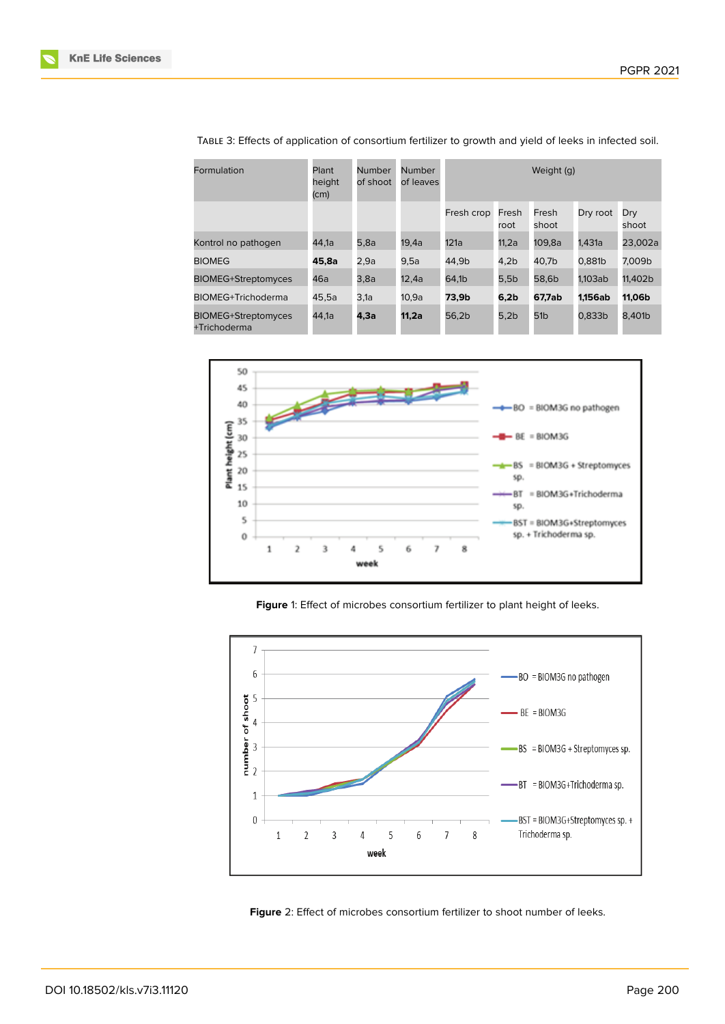

| Formulation                                | Plant<br>height<br>$\mathsf{(cm)}$ | Number<br>of shoot | Number<br>of leaves | Weight (g) |               |                 |          |              |
|--------------------------------------------|------------------------------------|--------------------|---------------------|------------|---------------|-----------------|----------|--------------|
|                                            |                                    |                    |                     | Fresh crop | Fresh<br>root | Fresh<br>shoot  | Dry root | Dry<br>shoot |
| Kontrol no pathogen                        | 44,1a                              | 5,8a               | 19,4a               | 121a       | 11,2a         | 109,8a          | 1,431a   | 23,002a      |
| <b>BIOMEG</b>                              | 45,8a                              | 2,9a               | 9,5a                | 44,9b      | 4,2b          | 40,7b           | 0,881b   | 7,009b       |
| <b>BIOMEG+Streptomyces</b>                 | 46a                                | 3,8a               | 12,4a               | 64,1b      | 5,5b          | 58,6b           | 1.103ab  | 11,402b      |
| <b>BIOMEG+Trichoderma</b>                  | 45,5a                              | 3,1a               | 10,9a               | 73,9b      | 6,2b          | 67,7ab          | 1.156ab  | 11,06b       |
| <b>BIOMEG+Streptomyces</b><br>+Trichoderma | 44.1a                              | 4,3а               | 11,2a               | 56.2b      | 5,2b          | 51 <sub>b</sub> | 0.833b   | 8.401b       |

Table 3: Effects of application of consortium fertilizer to growth and yield of leeks in infected soil.



<span id="page-7-0"></span>**Figure** 1: Effect of microbes consortium fertilizer to plant height of leeks.



**Figure** 2: Effect of microbes consortium fertilizer to shoot number of leeks.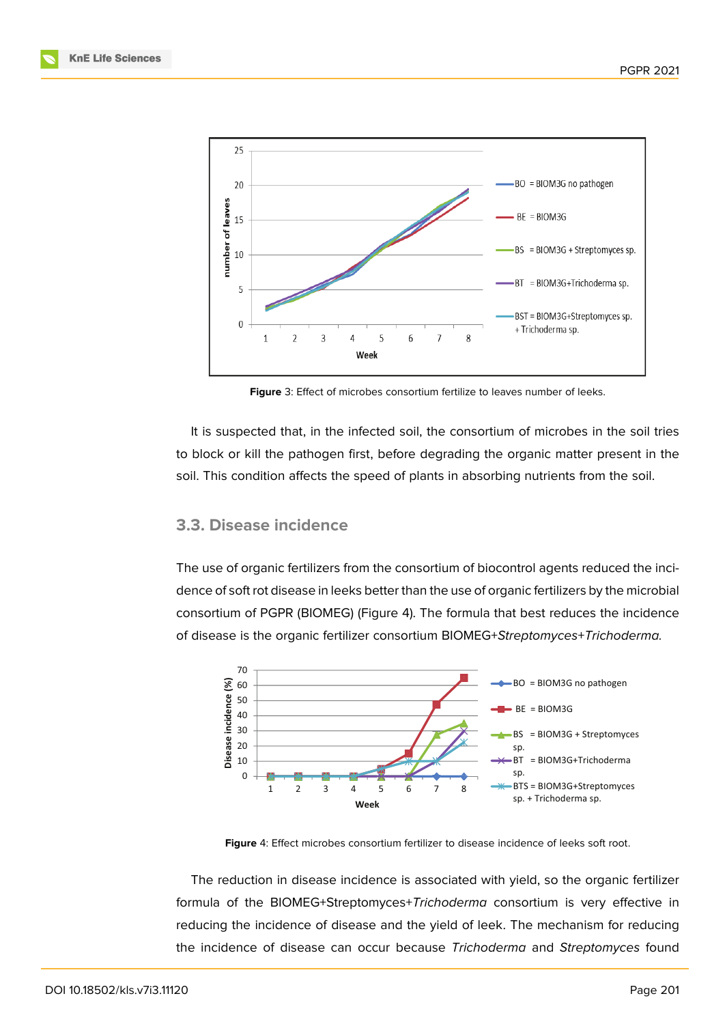

**Figure** 3: Effect of microbes consortium fertilize to leaves number of leeks.

It is suspected that, in the infected soil, the consortium of microbes in the soil tries to block or kill the pathogen first, before degrading the organic matter present in the soil. This condition affects the speed of plants in absorbing nutrients from the soil.

### **3.3. Disease incidence**

The use of organic fertilizers from the consortium of biocontrol agents reduced the incidence of soft rot disease in leeks better than the use of organic fertilizers by the microbial consortium of PGPR (BIOMEG) (Figure 4). The formula that best reduces the incidence of disease is the organic fertilizer consortium BIOMEG+*Streptomyces*+*Trichoderma.*



**Figure** 4: Effect microbes consortium fertilizer to disease incidence of leeks soft root.

The reduction in disease incidence is associated with yield, so the organic fertilizer formula of the BIOMEG+Streptomyces+*Trichoderma* consortium is very effective in reducing the incidence of disease and the yield of leek. The mechanism for reducing the incidence of disease can occur because *Trichoderma* and *Streptomyces* found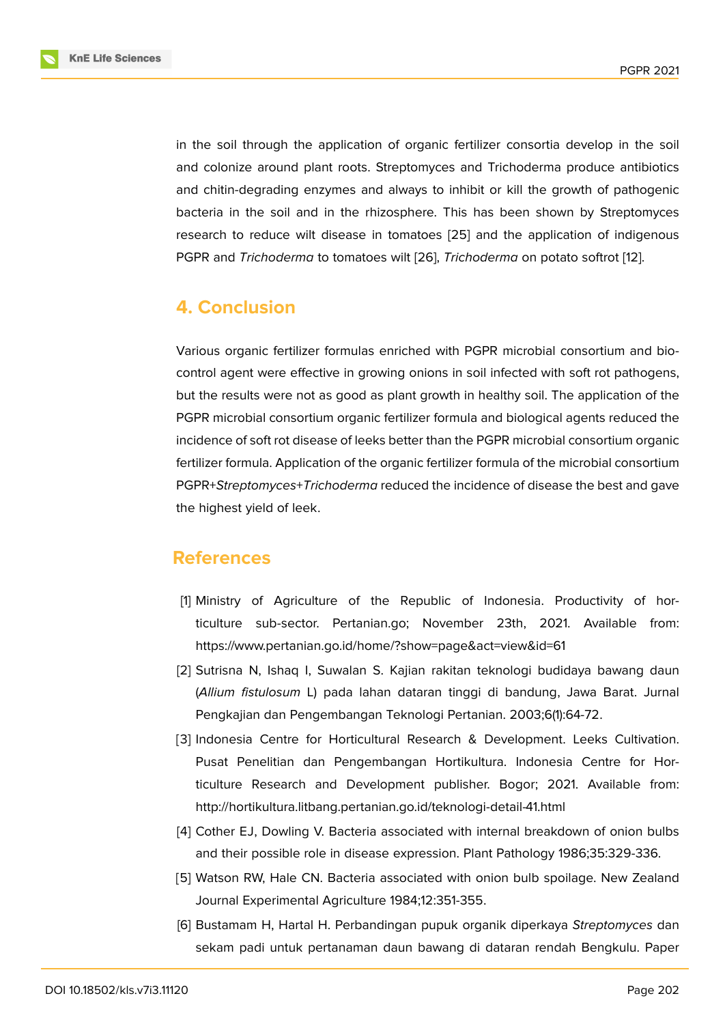in the soil through the application of organic fertilizer consortia develop in the soil and colonize around plant roots. Streptomyces and Trichoderma produce antibiotics and chitin-degrading enzymes and always to inhibit or kill the growth of pathogenic bacteria in the soil and in the rhizosphere. This has been shown by Streptomyces research to reduce wilt disease in tomatoes [25] and the application of indigenous PGPR and *Trichoderma* to tomatoes wilt [26], *Trichoderma* on potato softrot [12].

# **4. Conclusion**

Various organic fertilizer formulas enriched with PGPR microbial consortium and biocontrol agent were effective in growing onions in soil infected with soft rot pathogens, but the results were not as good as plant growth in healthy soil. The application of the PGPR microbial consortium organic fertilizer formula and biological agents reduced the incidence of soft rot disease of leeks better than the PGPR microbial consortium organic fertilizer formula. Application of the organic fertilizer formula of the microbial consortium PGPR+*Streptomyces*+*Trichoderma* reduced the incidence of disease the best and gave the highest yield of leek.

# **References**

- [1] Ministry of Agriculture of the Republic of Indonesia. Productivity of horticulture sub-sector. Pertanian.go; November 23th, 2021. Available from: https://www.pertanian.go.id/home/?show=page&act=view&id=61
- <span id="page-9-0"></span>[2] Sutrisna N, Ishaq I, Suwalan S. Kajian rakitan teknologi budidaya bawang daun (*Allium fistulosum* L) pada lahan dataran tinggi di bandung, Jawa Barat. Jurnal Pengkajian dan Pengembangan Teknologi Pertanian. 2003;6(1):64-72.
- <span id="page-9-1"></span>[3] Indonesia Centre for Horticultural Research & Development. Leeks Cultivation. Pusat Penelitian dan Pengembangan Hortikultura. Indonesia Centre for Horticulture Research and Development publisher. Bogor; 2021. Available from: http://hortikultura.litbang.pertanian.go.id/teknologi-detail-41.html
- <span id="page-9-2"></span>[4] Cother EJ, Dowling V. Bacteria associated with internal breakdown of onion bulbs and their possible role in disease expression. Plant Pathology 1986;35:329-336.
- <span id="page-9-3"></span>[5] Watson RW, Hale CN. Bacteria associated with onion bulb spoilage. New Zealand Journal Experimental Agriculture 1984;12:351-355.
- <span id="page-9-5"></span><span id="page-9-4"></span>[6] Bustamam H, Hartal H. Perbandingan pupuk organik diperkaya *Streptomyces* dan sekam padi untuk pertanaman daun bawang di dataran rendah Bengkulu. Paper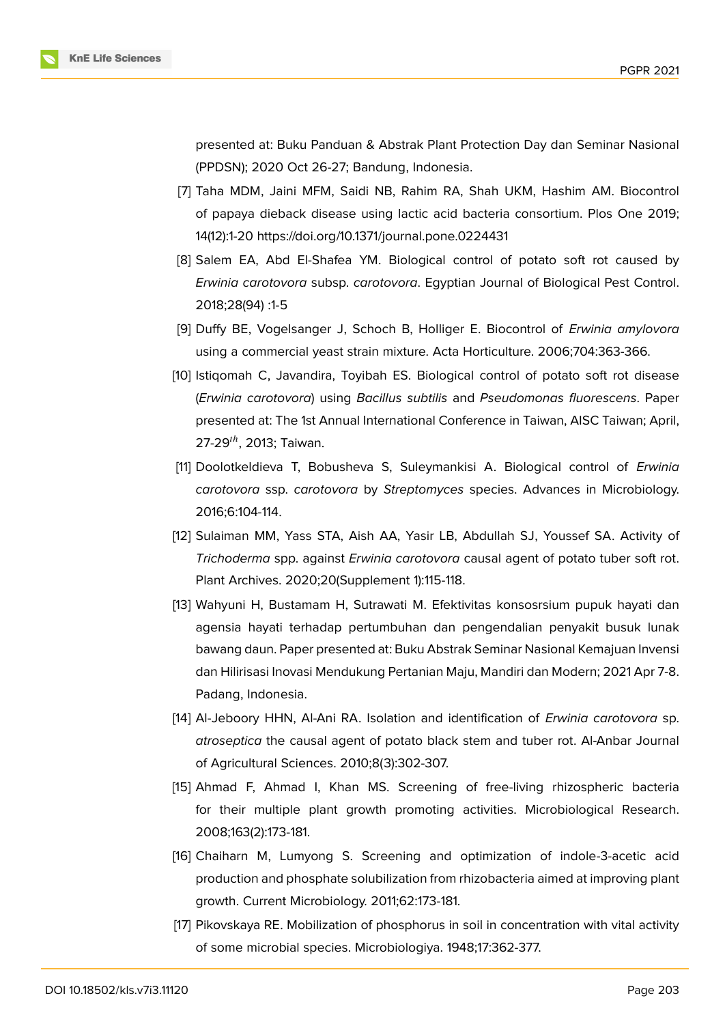

presented at: Buku Panduan & Abstrak Plant Protection Day dan Seminar Nasional (PPDSN); 2020 Oct 26-27; Bandung, Indonesia.

- <span id="page-10-0"></span>[7] Taha MDM, Jaini MFM, Saidi NB, Rahim RA, Shah UKM, Hashim AM. Biocontrol of papaya dieback disease using lactic acid bacteria consortium. Plos One 2019; 14(12):1-20 https://doi.org/10.1371/journal.pone.0224431
- <span id="page-10-1"></span>[8] Salem EA, Abd El-Shafea YM. Biological control of potato soft rot caused by *Erwinia carotovora* subsp. *carotovora*. Egyptian Journal of Biological Pest Control. 2018;28(94) :1-5
- <span id="page-10-2"></span>[9] Duffy BE, Vogelsanger J, Schoch B, Holliger E. Biocontrol of *Erwinia amylovora* using a commercial yeast strain mixture. Acta Horticulture. 2006;704:363-366.
- <span id="page-10-3"></span>[10] Istiqomah C, Javandira, Toyibah ES. Biological control of potato soft rot disease (*Erwinia carotovora*) using *Bacillus subtilis* and *Pseudomonas fluorescens*. Paper presented at: The 1st Annual International Conference in Taiwan, AISC Taiwan; April, 27-29 $^{th}$ , 2013; Taiwan.
- <span id="page-10-4"></span>[11] Doolotkeldieva T, Bobusheva S, Suleymankisi A. Biological control of *Erwinia carotovora* ssp. *carotovora* by *Streptomyces* species. Advances in Microbiology. 2016;6:104-114.
- <span id="page-10-5"></span>[12] Sulaiman MM, Yass STA, Aish AA, Yasir LB, Abdullah SJ, Youssef SA. Activity of *Trichoderma* spp. against *Erwinia carotovora* causal agent of potato tuber soft rot. Plant Archives. 2020;20(Supplement 1):115-118.
- <span id="page-10-6"></span>[13] Wahyuni H, Bustamam H, Sutrawati M. Efektivitas konsosrsium pupuk hayati dan agensia hayati terhadap pertumbuhan dan pengendalian penyakit busuk lunak bawang daun. Paper presented at: Buku Abstrak Seminar Nasional Kemajuan Invensi dan Hilirisasi Inovasi Mendukung Pertanian Maju, Mandiri dan Modern; 2021 Apr 7-8. Padang, Indonesia.
- <span id="page-10-7"></span>[14] Al-Jeboory HHN, Al-Ani RA. Isolation and identification of *Erwinia carotovora* sp. *atroseptica* the causal agent of potato black stem and tuber rot. Al-Anbar Journal of Agricultural Sciences. 2010;8(3):302-307.
- <span id="page-10-8"></span>[15] Ahmad F, Ahmad I, Khan MS. Screening of free-living rhizospheric bacteria for their multiple plant growth promoting activities. Microbiological Research. 2008;163(2):173-181.
- <span id="page-10-9"></span>[16] Chaiharn M, Lumyong S. Screening and optimization of indole-3-acetic acid production and phosphate solubilization from rhizobacteria aimed at improving plant growth. Current Microbiology. 2011;62:173-181.
- [17] Pikovskaya RE. Mobilization of phosphorus in soil in concentration with vital activity of some microbial species. Microbiologiya. 1948;17:362-377.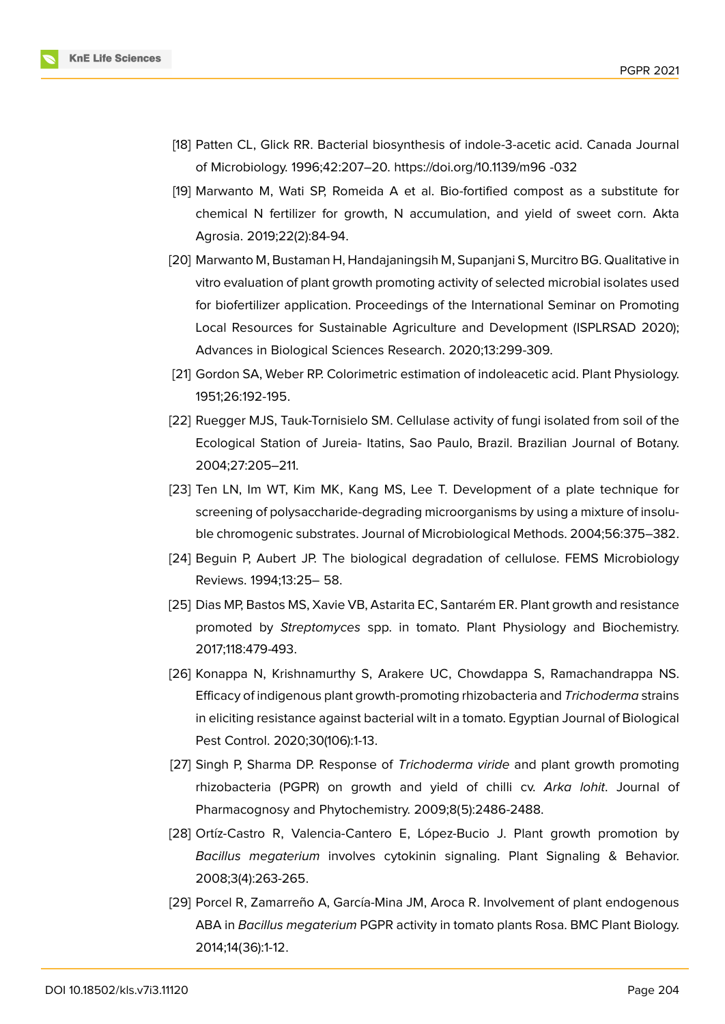

- <span id="page-11-1"></span>[18] Patten CL, Glick RR. Bacterial biosynthesis of indole-3-acetic acid. Canada Journal of Microbiology. 1996;42:207–20. https://doi.org/10.1139/m96 -032
- [19] Marwanto M, Wati SP, Romeida A et al. Bio-fortified compost as a substitute for chemical N fertilizer for growth, N accumulation, and yield of sweet corn. Akta Agrosia. 2019;22(2):84-94.
- <span id="page-11-0"></span>[20] Marwanto M, Bustaman H, Handajaningsih M, Supanjani S, Murcitro BG. Qualitative in vitro evaluation of plant growth promoting activity of selected microbial isolates used for biofertilizer application. Proceedings of the International Seminar on Promoting Local Resources for Sustainable Agriculture and Development (ISPLRSAD 2020); Advances in Biological Sciences Research. 2020;13:299-309.
- <span id="page-11-2"></span>[21] Gordon SA, Weber RP. Colorimetric estimation of indoleacetic acid. Plant Physiology. 1951;26:192-195.
- [22] Ruegger MJS, Tauk-Tornisielo SM. Cellulase activity of fungi isolated from soil of the Ecological Station of Jureia- Itatins, Sao Paulo, Brazil. Brazilian Journal of Botany. 2004;27:205–211.
- <span id="page-11-3"></span>[23] Ten LN, Im WT, Kim MK, Kang MS, Lee T. Development of a plate technique for screening of polysaccharide-degrading microorganisms by using a mixture of insoluble chromogenic substrates. Journal of Microbiological Methods. 2004;56:375–382.
- <span id="page-11-4"></span>[24] Beguin P, Aubert JP. The biological degradation of cellulose. FEMS Microbiology Reviews. 1994;13:25– 58.
- [25] Dias MP, Bastos MS, Xavie VB, Astarita EC, Santarém ER. Plant growth and resistance promoted by *Streptomyces* spp. in tomato. Plant Physiology and Biochemistry. 2017;118:479-493.
- [26] Konappa N, Krishnamurthy S, Arakere UC, Chowdappa S, Ramachandrappa NS. Efficacy of indigenous plant growth-promoting rhizobacteria and *Trichoderma* strains in eliciting resistance against bacterial wilt in a tomato. Egyptian Journal of Biological Pest Control. 2020;30(106):1-13.
- [27] Singh P, Sharma DP. Response of *Trichoderma viride* and plant growth promoting rhizobacteria (PGPR) on growth and yield of chilli cv. *Arka lohit*. Journal of Pharmacognosy and Phytochemistry. 2009;8(5):2486-2488.
- [28] Ortíz-Castro R, Valencia-Cantero E, López-Bucio J. Plant growth promotion by *Bacillus megaterium* involves cytokinin signaling. Plant Signaling & Behavior. 2008;3(4):263-265.
- [29] Porcel R, Zamarreño A, García-Mina JM, Aroca R. Involvement of plant endogenous ABA in *Bacillus megaterium* PGPR activity in tomato plants Rosa. BMC Plant Biology. 2014;14(36):1-12.